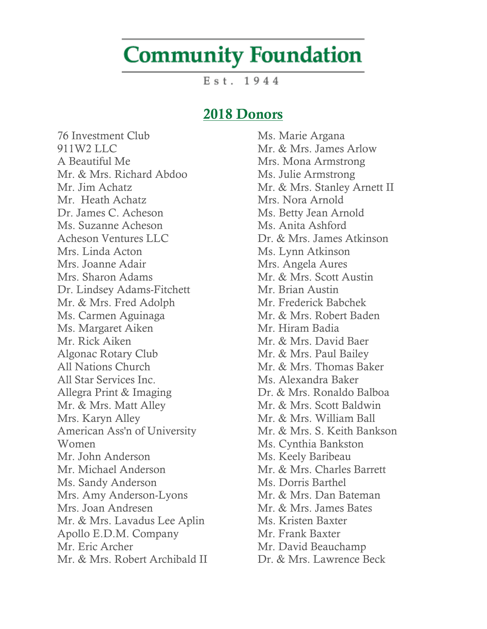## **Community Foundation**

 $Est. 1944$ 

## 2018 Donors

76 Investment Club 911W2 LLC A Beautiful Me Mr. & Mrs. Richard Abdoo Mr. Jim Achatz Mr. Heath Achatz Dr. James C. Acheson Ms. Suzanne Acheson Acheson Ventures LLC Mrs. Linda Acton Mrs. Joanne Adair Mrs. Sharon Adams Dr. Lindsey Adams-Fitchett Mr. & Mrs. Fred Adolph Ms. Carmen Aguinaga Ms. Margaret Aiken Mr. Rick Aiken Algonac Rotary Club All Nations Church All Star Services Inc. Allegra Print & Imaging Mr. & Mrs. Matt Alley Mrs. Karyn Alley American Ass'n of University Women Mr. John Anderson Mr. Michael Anderson Ms. Sandy Anderson Mrs. Amy Anderson-Lyons Mrs. Joan Andresen Mr. & Mrs. Lavadus Lee Aplin Apollo E.D.M. Company Mr. Eric Archer Mr. & Mrs. Robert Archibald II

Ms. Marie Argana Mr. & Mrs. James Arlow Mrs. Mona Armstrong Ms. Julie Armstrong Mr. & Mrs. Stanley Arnett II Mrs. Nora Arnold Ms. Betty Jean Arnold Ms. Anita Ashford Dr. & Mrs. James Atkinson Ms. Lynn Atkinson Mrs. Angela Aures Mr. & Mrs. Scott Austin Mr. Brian Austin Mr. Frederick Babchek Mr. & Mrs. Robert Baden Mr. Hiram Badia Mr. & Mrs. David Baer Mr. & Mrs. Paul Bailey Mr. & Mrs. Thomas Baker Ms. Alexandra Baker Dr. & Mrs. Ronaldo Balboa Mr. & Mrs. Scott Baldwin Mr. & Mrs. William Ball Mr. & Mrs. S. Keith Bankson Ms. Cynthia Bankston Ms. Keely Baribeau Mr. & Mrs. Charles Barrett Ms. Dorris Barthel Mr. & Mrs. Dan Bateman Mr. & Mrs. James Bates Ms. Kristen Baxter Mr. Frank Baxter Mr. David Beauchamp

Dr. & Mrs. Lawrence Beck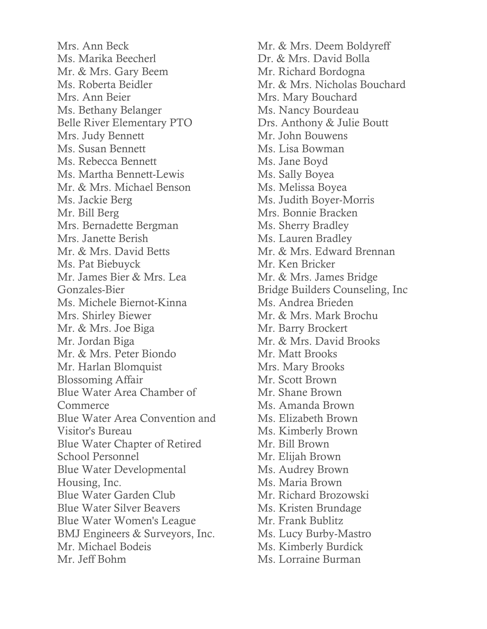Mrs. Ann Beck Ms. Marika Beecherl Mr. & Mrs. Gary Beem Ms. Roberta Beidler Mrs. Ann Beier Ms. Bethany Belanger Belle River Elementary PTO Mrs. Judy Bennett Ms. Susan Bennett Ms. Rebecca Bennett Ms. Martha Bennett-Lewis Mr. & Mrs. Michael Benson Ms. Jackie Berg Mr. Bill Berg Mrs. Bernadette Bergman Mrs. Janette Berish Mr. & Mrs. David Betts Ms. Pat Biebuyck Mr. James Bier & Mrs. Lea Gonzales-Bier Ms. Michele Biernot-Kinna Mrs. Shirley Biewer Mr. & Mrs. Joe Biga Mr. Jordan Biga Mr. & Mrs. Peter Biondo Mr. Harlan Blomquist Blossoming Affair Blue Water Area Chamber of **Commerce** Blue Water Area Convention and Visitor's Bureau Blue Water Chapter of Retired School Personnel Blue Water Developmental Housing, Inc. Blue Water Garden Club Blue Water Silver Beavers Blue Water Women's League BMJ Engineers & Surveyors, Inc. Mr. Michael Bodeis Mr. Jeff Bohm

Mr. & Mrs. Deem Boldyreff Dr. & Mrs. David Bolla Mr. Richard Bordogna Mr. & Mrs. Nicholas Bouchard Mrs. Mary Bouchard Ms. Nancy Bourdeau Drs. Anthony & Julie Boutt Mr. John Bouwens Ms. Lisa Bowman Ms. Jane Boyd Ms. Sally Boyea Ms. Melissa Boyea Ms. Judith Boyer-Morris Mrs. Bonnie Bracken Ms. Sherry Bradley Ms. Lauren Bradley Mr. & Mrs. Edward Brennan Mr. Ken Bricker Mr. & Mrs. James Bridge Bridge Builders Counseling, Inc Ms. Andrea Brieden Mr. & Mrs. Mark Brochu Mr. Barry Brockert Mr. & Mrs. David Brooks Mr. Matt Brooks Mrs. Mary Brooks Mr. Scott Brown Mr. Shane Brown Ms. Amanda Brown Ms. Elizabeth Brown Ms. Kimberly Brown Mr. Bill Brown Mr. Elijah Brown Ms. Audrey Brown Ms. Maria Brown Mr. Richard Brozowski Ms. Kristen Brundage Mr. Frank Bublitz Ms. Lucy Burby-Mastro Ms. Kimberly Burdick Ms. Lorraine Burman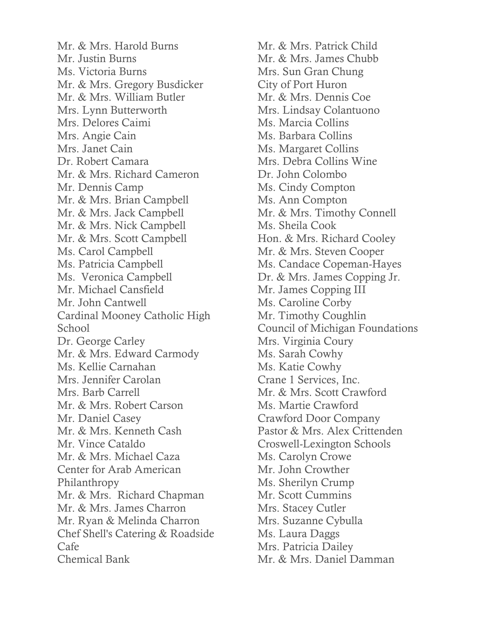Mr. & Mrs. Harold Burns Mr. Justin Burns Ms. Victoria Burns Mr. & Mrs. Gregory Busdicker Mr. & Mrs. William Butler Mrs. Lynn Butterworth Mrs. Delores Caimi Mrs. Angie Cain Mrs. Janet Cain Dr. Robert Camara Mr. & Mrs. Richard Cameron Mr. Dennis Camp Mr. & Mrs. Brian Campbell Mr. & Mrs. Jack Campbell Mr. & Mrs. Nick Campbell Mr. & Mrs. Scott Campbell Ms. Carol Campbell Ms. Patricia Campbell Ms. Veronica Campbell Mr. Michael Cansfield Mr. John Cantwell Cardinal Mooney Catholic High School Dr. George Carley Mr. & Mrs. Edward Carmody Ms. Kellie Carnahan Mrs. Jennifer Carolan Mrs. Barb Carrell Mr. & Mrs. Robert Carson Mr. Daniel Casey Mr. & Mrs. Kenneth Cash Mr. Vince Cataldo Mr. & Mrs. Michael Caza Center for Arab American Philanthropy Mr. & Mrs. Richard Chapman Mr. & Mrs. James Charron Mr. Ryan & Melinda Charron Chef Shell's Catering & Roadside Cafe Chemical Bank

Mr. & Mrs. Patrick Child Mr. & Mrs. James Chubb Mrs. Sun Gran Chung City of Port Huron Mr. & Mrs. Dennis Coe Mrs. Lindsay Colantuono Ms. Marcia Collins Ms. Barbara Collins Ms. Margaret Collins Mrs. Debra Collins Wine Dr. John Colombo Ms. Cindy Compton Ms. Ann Compton Mr. & Mrs. Timothy Connell Ms. Sheila Cook Hon. & Mrs. Richard Cooley Mr. & Mrs. Steven Cooper Ms. Candace Copeman-Hayes Dr. & Mrs. James Copping Jr. Mr. James Copping III Ms. Caroline Corby Mr. Timothy Coughlin Council of Michigan Foundations Mrs. Virginia Coury Ms. Sarah Cowhy Ms. Katie Cowhy Crane 1 Services, Inc. Mr. & Mrs. Scott Crawford Ms. Martie Crawford Crawford Door Company Pastor & Mrs. Alex Crittenden Croswell-Lexington Schools Ms. Carolyn Crowe Mr. John Crowther Ms. Sherilyn Crump Mr. Scott Cummins Mrs. Stacey Cutler Mrs. Suzanne Cybulla Ms. Laura Daggs Mrs. Patricia Dailey Mr. & Mrs. Daniel Damman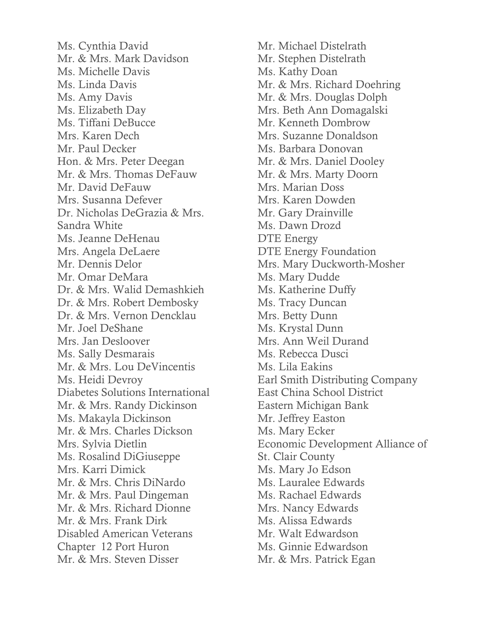Ms. Cynthia David Mr. & Mrs. Mark Davidson Ms. Michelle Davis Ms. Linda Davis Ms. Amy Davis Ms. Elizabeth Day Ms. Tiffani DeBucce Mrs. Karen Dech Mr. Paul Decker Hon. & Mrs. Peter Deegan Mr. & Mrs. Thomas DeFauw Mr. David DeFauw Mrs. Susanna Defever Dr. Nicholas DeGrazia & Mrs. Sandra White Ms. Jeanne DeHenau Mrs. Angela DeLaere Mr. Dennis Delor Mr. Omar DeMara Dr. & Mrs. Walid Demashkieh Dr. & Mrs. Robert Dembosky Dr. & Mrs. Vernon Dencklau Mr. Joel DeShane Mrs. Jan Desloover Ms. Sally Desmarais Mr. & Mrs. Lou DeVincentis Ms. Heidi Devroy Diabetes Solutions International Mr. & Mrs. Randy Dickinson Ms. Makayla Dickinson Mr. & Mrs. Charles Dickson Mrs. Sylvia Dietlin Ms. Rosalind DiGiuseppe Mrs. Karri Dimick Mr. & Mrs. Chris DiNardo Mr. & Mrs. Paul Dingeman Mr. & Mrs. Richard Dionne Mr. & Mrs. Frank Dirk Disabled American Veterans Chapter 12 Port Huron Mr. & Mrs. Steven Disser

Mr. Michael Distelrath Mr. Stephen Distelrath Ms. Kathy Doan Mr. & Mrs. Richard Doehring Mr. & Mrs. Douglas Dolph Mrs. Beth Ann Domagalski Mr. Kenneth Dombrow Mrs. Suzanne Donaldson Ms. Barbara Donovan Mr. & Mrs. Daniel Dooley Mr. & Mrs. Marty Doorn Mrs. Marian Doss Mrs. Karen Dowden Mr. Gary Drainville Ms. Dawn Drozd DTE Energy DTE Energy Foundation Mrs. Mary Duckworth-Mosher Ms. Mary Dudde Ms. Katherine Duffy Ms. Tracy Duncan Mrs. Betty Dunn Ms. Krystal Dunn Mrs. Ann Weil Durand Ms. Rebecca Dusci Ms. Lila Eakins Earl Smith Distributing Company East China School District Eastern Michigan Bank Mr. Jeffrey Easton Ms. Mary Ecker Economic Development Alliance of St. Clair County Ms. Mary Jo Edson Ms. Lauralee Edwards Ms. Rachael Edwards Mrs. Nancy Edwards Ms. Alissa Edwards Mr. Walt Edwardson Ms. Ginnie Edwardson Mr. & Mrs. Patrick Egan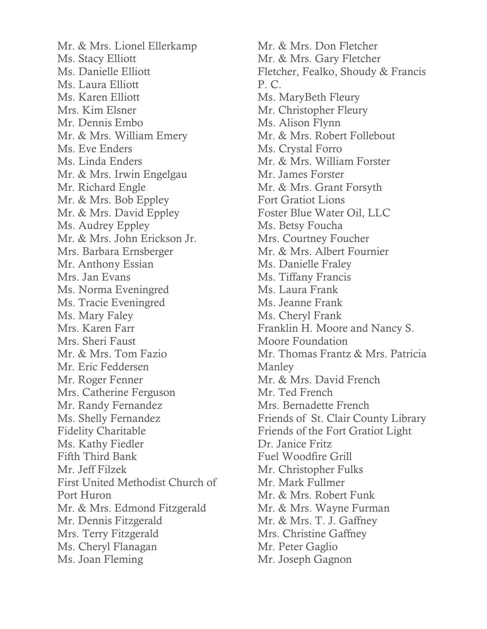Mr. & Mrs. Lionel Ellerkamp Ms. Stacy Elliott Ms. Danielle Elliott Ms. Laura Elliott Ms. Karen Elliott Mrs. Kim Elsner Mr. Dennis Embo Mr. & Mrs. William Emery Ms. Eve Enders Ms. Linda Enders Mr. & Mrs. Irwin Engelgau Mr. Richard Engle Mr. & Mrs. Bob Eppley Mr. & Mrs. David Eppley Ms. Audrey Eppley Mr. & Mrs. John Erickson Jr. Mrs. Barbara Ernsberger Mr. Anthony Essian Mrs. Jan Evans Ms. Norma Eveningred Ms. Tracie Eveningred Ms. Mary Faley Mrs. Karen Farr Mrs. Sheri Faust Mr. & Mrs. Tom Fazio Mr. Eric Feddersen Mr. Roger Fenner Mrs. Catherine Ferguson Mr. Randy Fernandez Ms. Shelly Fernandez Fidelity Charitable Ms. Kathy Fiedler Fifth Third Bank Mr. Jeff Filzek First United Methodist Church of Port Huron Mr. & Mrs. Edmond Fitzgerald Mr. Dennis Fitzgerald Mrs. Terry Fitzgerald Ms. Cheryl Flanagan Ms. Joan Fleming

Mr. & Mrs. Don Fletcher Mr. & Mrs. Gary Fletcher Fletcher, Fealko, Shoudy & Francis P. C. Ms. MaryBeth Fleury Mr. Christopher Fleury Ms. Alison Flynn Mr. & Mrs. Robert Follebout Ms. Crystal Forro Mr. & Mrs. William Forster Mr. James Forster Mr. & Mrs. Grant Forsyth Fort Gratiot Lions Foster Blue Water Oil, LLC Ms. Betsy Foucha Mrs. Courtney Foucher Mr. & Mrs. Albert Fournier Ms. Danielle Fraley Ms. Tiffany Francis Ms. Laura Frank Ms. Jeanne Frank Ms. Cheryl Frank Franklin H. Moore and Nancy S. Moore Foundation Mr. Thomas Frantz & Mrs. Patricia Manley Mr. & Mrs. David French Mr. Ted French Mrs. Bernadette French Friends of St. Clair County Library Friends of the Fort Gratiot Light Dr. Janice Fritz Fuel Woodfire Grill Mr. Christopher Fulks Mr. Mark Fullmer Mr. & Mrs. Robert Funk Mr. & Mrs. Wayne Furman Mr. & Mrs. T. J. Gaffney Mrs. Christine Gaffney Mr. Peter Gaglio Mr. Joseph Gagnon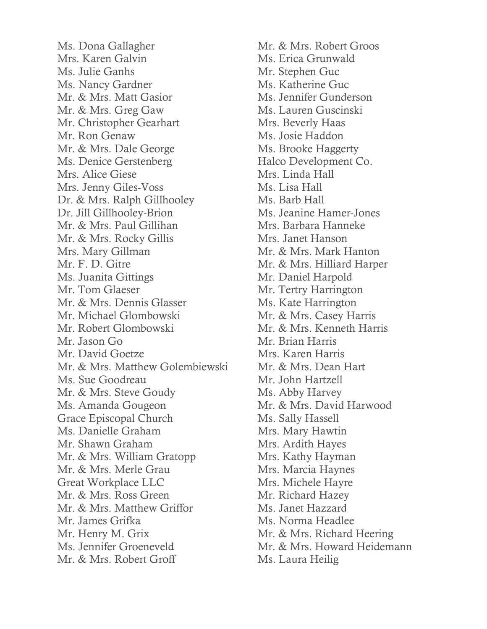Ms. Dona Gallagher Mrs. Karen Galvin Ms. Julie Ganhs Ms. Nancy Gardner Mr. & Mrs. Matt Gasior Mr. & Mrs. Greg Gaw Mr. Christopher Gearhart Mr. Ron Genaw Mr. & Mrs. Dale George Ms. Denice Gerstenberg Mrs. Alice Giese Mrs. Jenny Giles-Voss Dr. & Mrs. Ralph Gillhooley Dr. Jill Gillhooley-Brion Mr. & Mrs. Paul Gillihan Mr. & Mrs. Rocky Gillis Mrs. Mary Gillman Mr. F. D. Gitre Ms. Juanita Gittings Mr. Tom Glaeser Mr. & Mrs. Dennis Glasser Mr. Michael Glombowski Mr. Robert Glombowski Mr. Jason Go Mr. David Goetze Mr. & Mrs. Matthew Golembiewski Ms. Sue Goodreau Mr. & Mrs. Steve Goudy Ms. Amanda Gougeon Grace Episcopal Church Ms. Danielle Graham Mr. Shawn Graham Mr. & Mrs. William Gratopp Mr. & Mrs. Merle Grau Great Workplace LLC Mr. & Mrs. Ross Green Mr. & Mrs. Matthew Griffor Mr. James Grifka Mr. Henry M. Grix Ms. Jennifer Groeneveld Mr. & Mrs. Robert Groff

Mr. & Mrs. Robert Groos Ms. Erica Grunwald Mr. Stephen Guc Ms. Katherine Guc Ms. Jennifer Gunderson Ms. Lauren Guscinski Mrs. Beverly Haas Ms. Josie Haddon Ms. Brooke Haggerty Halco Development Co. Mrs. Linda Hall Ms. Lisa Hall Ms. Barb Hall Ms. Jeanine Hamer-Jones Mrs. Barbara Hanneke Mrs. Janet Hanson Mr. & Mrs. Mark Hanton Mr. & Mrs. Hilliard Harper Mr. Daniel Harpold Mr. Tertry Harrington Ms. Kate Harrington Mr. & Mrs. Casey Harris Mr. & Mrs. Kenneth Harris Mr. Brian Harris Mrs. Karen Harris Mr. & Mrs. Dean Hart Mr. John Hartzell Ms. Abby Harvey Mr. & Mrs. David Harwood Ms. Sally Hassell Mrs. Mary Hawtin Mrs. Ardith Hayes Mrs. Kathy Hayman Mrs. Marcia Haynes Mrs. Michele Hayre Mr. Richard Hazey Ms. Janet Hazzard Ms. Norma Headlee Mr. & Mrs. Richard Heering Mr. & Mrs. Howard Heidemann Ms. Laura Heilig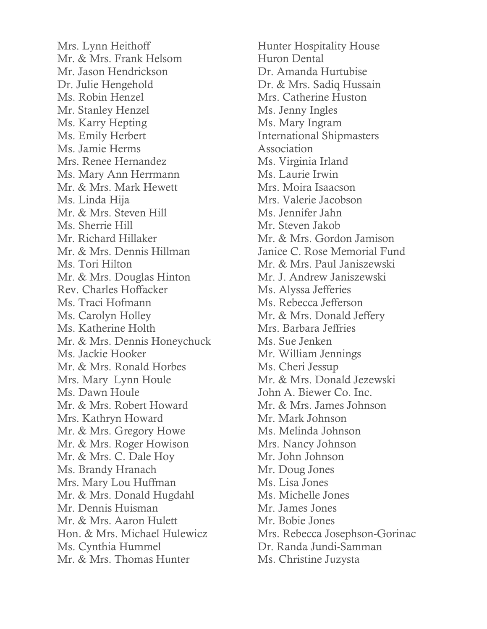Mrs. Lynn Heithoff Mr. & Mrs. Frank Helsom Mr. Jason Hendrickson Dr. Julie Hengehold Ms. Robin Henzel Mr. Stanley Henzel Ms. Karry Hepting Ms. Emily Herbert Ms. Jamie Herms Mrs. Renee Hernandez Ms. Mary Ann Herrmann Mr. & Mrs. Mark Hewett Ms. Linda Hija Mr. & Mrs. Steven Hill Ms. Sherrie Hill Mr. Richard Hillaker Mr. & Mrs. Dennis Hillman Ms. Tori Hilton Mr. & Mrs. Douglas Hinton Rev. Charles Hoffacker Ms. Traci Hofmann Ms. Carolyn Holley Ms. Katherine Holth Mr. & Mrs. Dennis Honeychuck Ms. Jackie Hooker Mr. & Mrs. Ronald Horbes Mrs. Mary Lynn Houle Ms. Dawn Houle Mr. & Mrs. Robert Howard Mrs. Kathryn Howard Mr. & Mrs. Gregory Howe Mr. & Mrs. Roger Howison Mr. & Mrs. C. Dale Hoy Ms. Brandy Hranach Mrs. Mary Lou Huffman Mr. & Mrs. Donald Hugdahl Mr. Dennis Huisman Mr. & Mrs. Aaron Hulett Hon. & Mrs. Michael Hulewicz Ms. Cynthia Hummel Mr. & Mrs. Thomas Hunter

Hunter Hospitality House Huron Dental Dr. Amanda Hurtubise Dr. & Mrs. Sadiq Hussain Mrs. Catherine Huston Ms. Jenny Ingles Ms. Mary Ingram International Shipmasters Association Ms. Virginia Irland Ms. Laurie Irwin Mrs. Moira Isaacson Mrs. Valerie Jacobson Ms. Jennifer Jahn Mr. Steven Jakob Mr. & Mrs. Gordon Jamison Janice C. Rose Memorial Fund Mr. & Mrs. Paul Janiszewski Mr. J. Andrew Janiszewski Ms. Alyssa Jefferies Ms. Rebecca Jefferson Mr. & Mrs. Donald Jeffery Mrs. Barbara Jeffries Ms. Sue Jenken Mr. William Jennings Ms. Cheri Jessup Mr. & Mrs. Donald Jezewski John A. Biewer Co. Inc. Mr. & Mrs. James Johnson Mr. Mark Johnson Ms. Melinda Johnson Mrs. Nancy Johnson Mr. John Johnson Mr. Doug Jones Ms. Lisa Jones Ms. Michelle Jones Mr. James Jones Mr. Bobie Jones Mrs. Rebecca Josephson-Gorinac Dr. Randa Jundi-Samman Ms. Christine Juzysta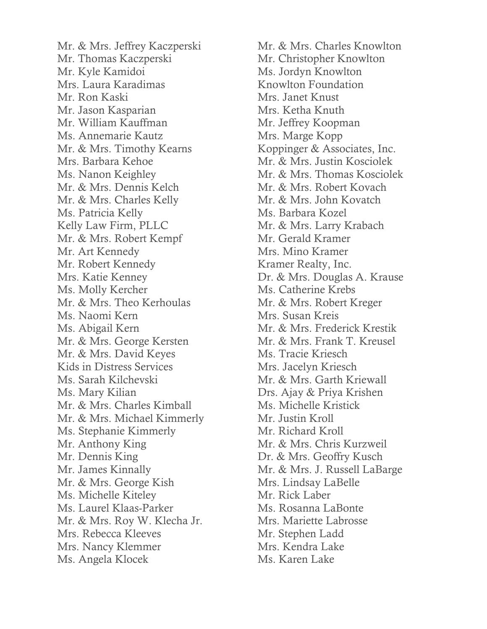Mr. & Mrs. Jeffrey Kaczperski Mr. Thomas Kaczperski Mr. Kyle Kamidoi Mrs. Laura Karadimas Mr. Ron Kaski Mr. Jason Kasparian Mr. William Kauffman Ms. Annemarie Kautz Mr. & Mrs. Timothy Kearns Mrs. Barbara Kehoe Ms. Nanon Keighley Mr. & Mrs. Dennis Kelch Mr. & Mrs. Charles Kelly Ms. Patricia Kelly Kelly Law Firm, PLLC Mr. & Mrs. Robert Kempf Mr. Art Kennedy Mr. Robert Kennedy Mrs. Katie Kenney Ms. Molly Kercher Mr. & Mrs. Theo Kerhoulas Ms. Naomi Kern Ms. Abigail Kern Mr. & Mrs. George Kersten Mr. & Mrs. David Keyes Kids in Distress Services Ms. Sarah Kilchevski Ms. Mary Kilian Mr. & Mrs. Charles Kimball Mr. & Mrs. Michael Kimmerly Ms. Stephanie Kimmerly Mr. Anthony King Mr. Dennis King Mr. James Kinnally Mr. & Mrs. George Kish Ms. Michelle Kiteley Ms. Laurel Klaas-Parker Mr. & Mrs. Roy W. Klecha Jr. Mrs. Rebecca Kleeves Mrs. Nancy Klemmer Ms. Angela Klocek

Mr. & Mrs. Charles Knowlton Mr. Christopher Knowlton Ms. Jordyn Knowlton Knowlton Foundation Mrs. Janet Knust Mrs. Ketha Knuth Mr. Jeffrey Koopman Mrs. Marge Kopp Koppinger & Associates, Inc. Mr. & Mrs. Justin Kosciolek Mr. & Mrs. Thomas Kosciolek Mr. & Mrs. Robert Kovach Mr. & Mrs. John Kovatch Ms. Barbara Kozel Mr. & Mrs. Larry Krabach Mr. Gerald Kramer Mrs. Mino Kramer Kramer Realty, Inc. Dr. & Mrs. Douglas A. Krause Ms. Catherine Krebs Mr. & Mrs. Robert Kreger Mrs. Susan Kreis Mr. & Mrs. Frederick Krestik Mr. & Mrs. Frank T. Kreusel Ms. Tracie Kriesch Mrs. Jacelyn Kriesch Mr. & Mrs. Garth Kriewall Drs. Ajay & Priya Krishen Ms. Michelle Kristick Mr. Justin Kroll Mr. Richard Kroll Mr. & Mrs. Chris Kurzweil Dr. & Mrs. Geoffry Kusch Mr. & Mrs. J. Russell LaBarge Mrs. Lindsay LaBelle Mr. Rick Laber Ms. Rosanna LaBonte Mrs. Mariette Labrosse Mr. Stephen Ladd Mrs. Kendra Lake Ms. Karen Lake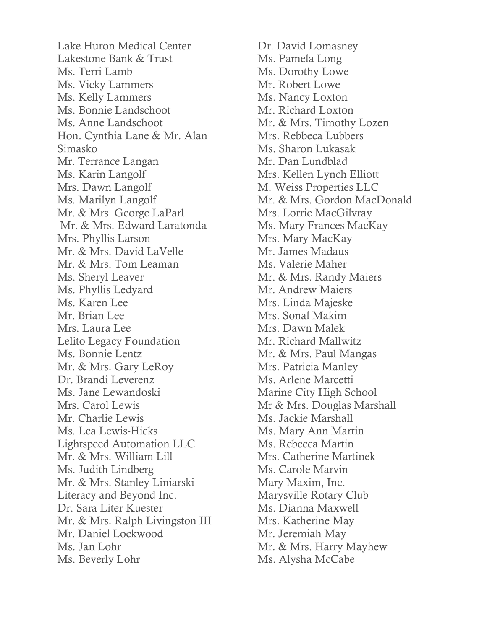Lake Huron Medical Center Lakestone Bank & Trust Ms. Terri Lamb Ms. Vicky Lammers Ms. Kelly Lammers Ms. Bonnie Landschoot Ms. Anne Landschoot Hon. Cynthia Lane & Mr. Alan Simasko Mr. Terrance Langan Ms. Karin Langolf Mrs. Dawn Langolf Ms. Marilyn Langolf Mr. & Mrs. George LaParl Mr. & Mrs. Edward Laratonda Mrs. Phyllis Larson Mr. & Mrs. David LaVelle Mr. & Mrs. Tom Leaman Ms. Sheryl Leaver Ms. Phyllis Ledyard Ms. Karen Lee Mr. Brian Lee Mrs. Laura Lee Lelito Legacy Foundation Ms. Bonnie Lentz Mr. & Mrs. Gary LeRoy Dr. Brandi Leverenz Ms. Jane Lewandoski Mrs. Carol Lewis Mr. Charlie Lewis Ms. Lea Lewis-Hicks Lightspeed Automation LLC Mr. & Mrs. William Lill Ms. Judith Lindberg Mr. & Mrs. Stanley Liniarski Literacy and Beyond Inc. Dr. Sara Liter-Kuester Mr. & Mrs. Ralph Livingston III Mr. Daniel Lockwood Ms. Jan Lohr Ms. Beverly Lohr

Dr. David Lomasney Ms. Pamela Long Ms. Dorothy Lowe Mr. Robert Lowe Ms. Nancy Loxton Mr. Richard Loxton Mr. & Mrs. Timothy Lozen Mrs. Rebbeca Lubbers Ms. Sharon Lukasak Mr. Dan Lundblad Mrs. Kellen Lynch Elliott M. Weiss Properties LLC Mr. & Mrs. Gordon MacDonald Mrs. Lorrie MacGilvray Ms. Mary Frances MacKay Mrs. Mary MacKay Mr. James Madaus Ms. Valerie Maher Mr. & Mrs. Randy Maiers Mr. Andrew Maiers Mrs. Linda Majeske Mrs. Sonal Makim Mrs. Dawn Malek Mr. Richard Mallwitz Mr. & Mrs. Paul Mangas Mrs. Patricia Manley Ms. Arlene Marcetti Marine City High School Mr & Mrs. Douglas Marshall Ms. Jackie Marshall Ms. Mary Ann Martin Ms. Rebecca Martin Mrs. Catherine Martinek Ms. Carole Marvin Mary Maxim, Inc. Marysville Rotary Club Ms. Dianna Maxwell Mrs. Katherine May Mr. Jeremiah May Mr. & Mrs. Harry Mayhew Ms. Alysha McCabe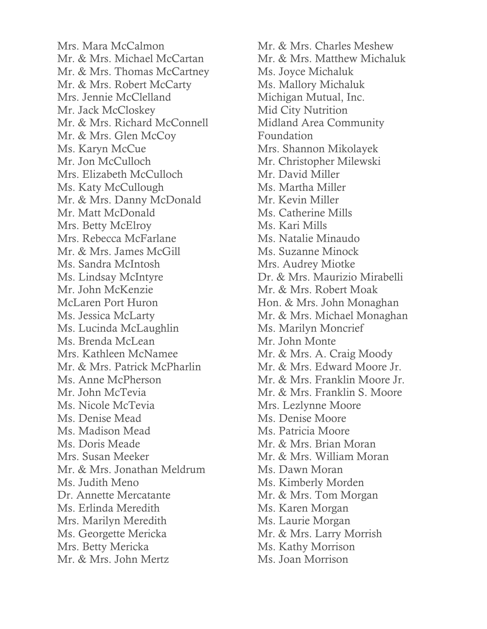Mrs. Mara McCalmon Mr. & Mrs. Michael McCartan Mr. & Mrs. Thomas McCartney Mr. & Mrs. Robert McCarty Mrs. Jennie McClelland Mr. Jack McCloskey Mr. & Mrs. Richard McConnell Mr. & Mrs. Glen McCoy Ms. Karyn McCue Mr. Jon McCulloch Mrs. Elizabeth McCulloch Ms. Katy McCullough Mr. & Mrs. Danny McDonald Mr. Matt McDonald Mrs. Betty McElroy Mrs. Rebecca McFarlane Mr. & Mrs. James McGill Ms. Sandra McIntosh Ms. Lindsay McIntyre Mr. John McKenzie McLaren Port Huron Ms. Jessica McLarty Ms. Lucinda McLaughlin Ms. Brenda McLean Mrs. Kathleen McNamee Mr. & Mrs. Patrick McPharlin Ms. Anne McPherson Mr. John McTevia Ms. Nicole McTevia Ms. Denise Mead Ms. Madison Mead Ms. Doris Meade Mrs. Susan Meeker Mr. & Mrs. Jonathan Meldrum Ms. Judith Meno Dr. Annette Mercatante Ms. Erlinda Meredith Mrs. Marilyn Meredith Ms. Georgette Mericka Mrs. Betty Mericka Mr. & Mrs. John Mertz

Mr. & Mrs. Charles Meshew Mr. & Mrs. Matthew Michaluk Ms. Joyce Michaluk Ms. Mallory Michaluk Michigan Mutual, Inc. Mid City Nutrition Midland Area Community Foundation Mrs. Shannon Mikolayek Mr. Christopher Milewski Mr. David Miller Ms. Martha Miller Mr. Kevin Miller Ms. Catherine Mills Ms. Kari Mills Ms. Natalie Minaudo Ms. Suzanne Minock Mrs. Audrey Miotke Dr. & Mrs. Maurizio Mirabelli Mr. & Mrs. Robert Moak Hon. & Mrs. John Monaghan Mr. & Mrs. Michael Monaghan Ms. Marilyn Moncrief Mr. John Monte Mr. & Mrs. A. Craig Moody Mr. & Mrs. Edward Moore Jr. Mr. & Mrs. Franklin Moore Jr. Mr. & Mrs. Franklin S. Moore Mrs. Lezlynne Moore Ms. Denise Moore Ms. Patricia Moore Mr. & Mrs. Brian Moran Mr. & Mrs. William Moran Ms. Dawn Moran Ms. Kimberly Morden Mr. & Mrs. Tom Morgan Ms. Karen Morgan Ms. Laurie Morgan Mr. & Mrs. Larry Morrish Ms. Kathy Morrison Ms. Joan Morrison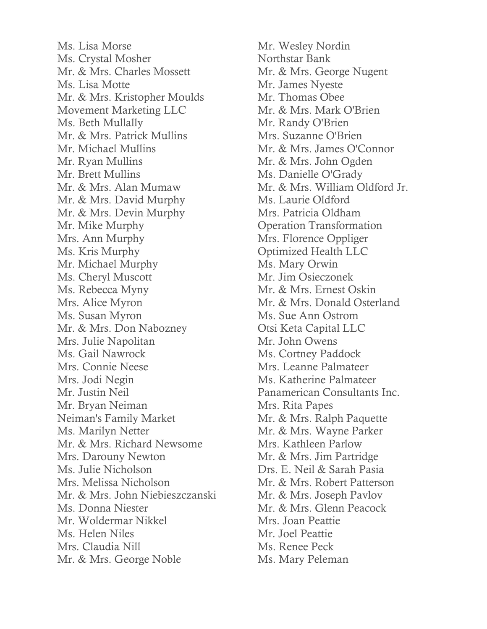Ms. Lisa Morse Ms. Crystal Mosher Mr. & Mrs. Charles Mossett Ms. Lisa Motte Mr. & Mrs. Kristopher Moulds Movement Marketing LLC Ms. Beth Mullally Mr. & Mrs. Patrick Mullins Mr. Michael Mullins Mr. Ryan Mullins Mr. Brett Mullins Mr. & Mrs. Alan Mumaw Mr. & Mrs. David Murphy Mr. & Mrs. Devin Murphy Mr. Mike Murphy Mrs. Ann Murphy Ms. Kris Murphy Mr. Michael Murphy Ms. Cheryl Muscott Ms. Rebecca Myny Mrs. Alice Myron Ms. Susan Myron Mr. & Mrs. Don Nabozney Mrs. Julie Napolitan Ms. Gail Nawrock Mrs. Connie Neese Mrs. Jodi Negin Mr. Justin Neil Mr. Bryan Neiman Neiman's Family Market Ms. Marilyn Netter Mr. & Mrs. Richard Newsome Mrs. Darouny Newton Ms. Julie Nicholson Mrs. Melissa Nicholson Mr. & Mrs. John Niebieszczanski Ms. Donna Niester Mr. Woldermar Nikkel Ms. Helen Niles Mrs. Claudia Nill Mr. & Mrs. George Noble

Mr. Wesley Nordin Northstar Bank Mr. & Mrs. George Nugent Mr. James Nyeste Mr. Thomas Obee Mr. & Mrs. Mark O'Brien Mr. Randy O'Brien Mrs. Suzanne O'Brien Mr. & Mrs. James O'Connor Mr. & Mrs. John Ogden Ms. Danielle O'Grady Mr. & Mrs. William Oldford Jr. Ms. Laurie Oldford Mrs. Patricia Oldham Operation Transformation Mrs. Florence Oppliger Optimized Health LLC Ms. Mary Orwin Mr. Jim Osieczonek Mr. & Mrs. Ernest Oskin Mr. & Mrs. Donald Osterland Ms. Sue Ann Ostrom Otsi Keta Capital LLC Mr. John Owens Ms. Cortney Paddock Mrs. Leanne Palmateer Ms. Katherine Palmateer Panamerican Consultants Inc. Mrs. Rita Papes Mr. & Mrs. Ralph Paquette Mr. & Mrs. Wayne Parker Mrs. Kathleen Parlow Mr. & Mrs. Jim Partridge Drs. E. Neil & Sarah Pasia Mr. & Mrs. Robert Patterson Mr. & Mrs. Joseph Pavlov Mr. & Mrs. Glenn Peacock Mrs. Joan Peattie Mr. Joel Peattie Ms. Renee Peck Ms. Mary Peleman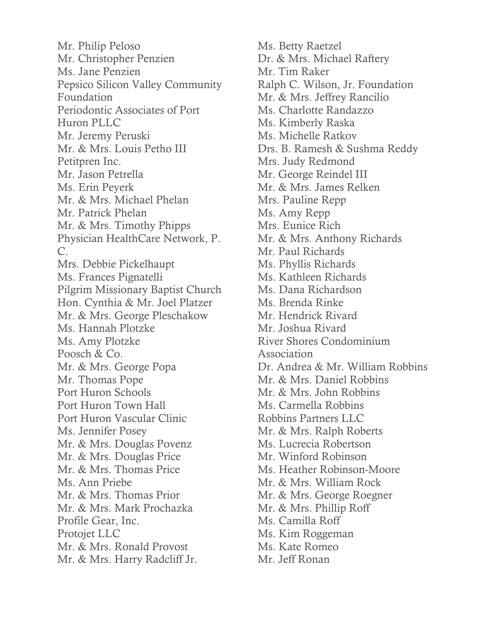Mr. Philip Peloso Mr. Christopher Penzien Ms. Jane Penzien Pepsico Silicon Valley Community Foundation Periodontic Associates of Port Huron PLLC Mr. Jeremy Peruski Mr. & Mrs. Louis Petho III Petitpren Inc. Mr. Jason Petrella Ms. Erin Peyerk Mr. & Mrs. Michael Phelan Mr. Patrick Phelan Mr. & Mrs. Timothy Phipps Physician HealthCare Network, P. C. Mrs. Debbie Pickelhaupt Ms. Frances Pignatelli Pilgrim Missionary Baptist Church Hon. Cynthia & Mr. Joel Platzer Mr. & Mrs. George Pleschakow Ms. Hannah Plotzke Ms. Amy Plotzke Poosch & Co. Mr. & Mrs. George Popa Mr. Thomas Pope Port Huron Schools Port Huron Town Hall Port Huron Vascular Clinic Ms. Jennifer Posey Mr. & Mrs. Douglas Povenz Mr. & Mrs. Douglas Price Mr. & Mrs. Thomas Price Ms. Ann Priebe Mr. & Mrs. Thomas Prior Mr. & Mrs. Mark Prochazka Profile Gear, Inc. Protojet LLC Mr. & Mrs. Ronald Provost Mr. & Mrs. Harry Radcliff Jr.

Ms. Betty Raetzel Dr. & Mrs. Michael Raftery Mr. Tim Raker Ralph C. Wilson, Jr. Foundation Mr. & Mrs. Jeffrey Rancilio Ms. Charlotte Randazzo Ms. Kimberly Raska Ms. Michelle Ratkov Drs. B. Ramesh & Sushma Reddy Mrs. Judy Redmond Mr. George Reindel III Mr. & Mrs. James Relken Mrs. Pauline Repp Ms. Amy Repp Mrs. Eunice Rich Mr. & Mrs. Anthony Richards Mr. Paul Richards Ms. Phyllis Richards Ms. Kathleen Richards Ms. Dana Richardson Ms. Brenda Rinke Mr. Hendrick Rivard Mr. Joshua Rivard River Shores Condominium Association Dr. Andrea & Mr. William Robbins Mr. & Mrs. Daniel Robbins Mr. & Mrs. John Robbins Ms. Carmella Robbins Robbins Partners LLC Mr. & Mrs. Ralph Roberts Ms. Lucrecia Robertson Mr. Winford Robinson Ms. Heather Robinson-Moore Mr. & Mrs. William Rock Mr. & Mrs. George Roegner Mr. & Mrs. Phillip Roff Ms. Camilla Roff Ms. Kim Roggeman Ms. Kate Romeo Mr. Jeff Ronan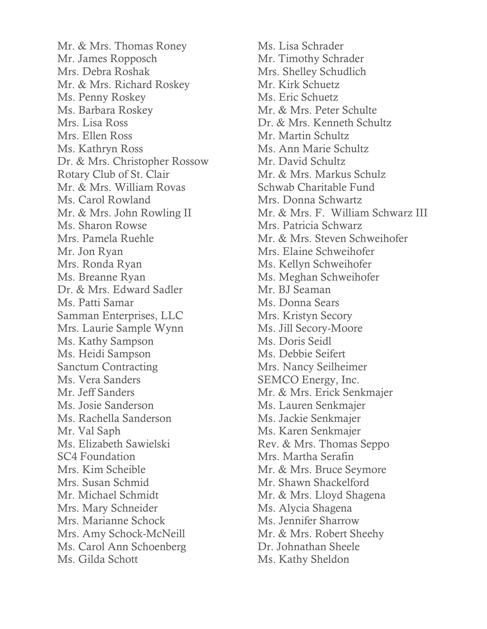Mr. & Mrs. Thomas Roney Mr. James Ropposch Mrs. Debra Roshak Mr. & Mrs. Richard Roskey Ms. Penny Roskey Ms. Barbara Roskey Mrs. Lisa Ross Mrs. Ellen Ross Ms. Kathryn Ross Dr. & Mrs. Christopher Rossow Rotary Club of St. Clair Mr. & Mrs. William Rovas Ms. Carol Rowland Mr. & Mrs. John Rowling II Ms. Sharon Rowse Mrs. Pamela Ruehle Mr. Jon Ryan Mrs. Ronda Ryan Ms. Breanne Ryan Dr. & Mrs. Edward Sadler Ms. Patti Samar Samman Enterprises, LLC Mrs. Laurie Sample Wynn Ms. Kathy Sampson Ms. Heidi Sampson Sanctum Contracting Ms. Vera Sanders Mr. Jeff Sanders Ms. Josie Sanderson Ms. Rachella Sanderson Mr. Val Saph Ms. Elizabeth Sawielski SC4 Foundation Mrs. Kim Scheible Mrs. Susan Schmid Mr. Michael Schmidt Mrs. Mary Schneider Mrs. Marianne Schock Mrs. Amy Schock-McNeill Ms. Carol Ann Schoenberg Ms. Gilda Schott

Ms. Lisa Schrader Mr. Timothy Schrader Mrs. Shelley Schudlich Mr. Kirk Schuetz Ms. Eric Schuetz Mr. & Mrs. Peter Schulte Dr. & Mrs. Kenneth Schultz Mr. Martin Schultz Ms. Ann Marie Schultz Mr. David Schultz Mr. & Mrs. Markus Schulz Schwab Charitable Fund Mrs. Donna Schwartz Mr. & Mrs. F. William Schwarz III Mrs. Patricia Schwarz Mr. & Mrs. Steven Schweihofer Mrs. Elaine Schweihofer Ms. Kellyn Schweihofer Ms. Meghan Schweihofer Mr. BJ Seaman Ms. Donna Sears Mrs. Kristyn Secory Ms. Jill Secory-Moore Ms. Doris Seidl Ms. Debbie Seifert Mrs. Nancy Seilheimer SEMCO Energy, Inc. Mr. & Mrs. Erick Senkmajer Ms. Lauren Senkmajer Ms. Jackie Senkmajer Ms. Karen Senkmajer Rev. & Mrs. Thomas Seppo Mrs. Martha Serafin Mr. & Mrs. Bruce Seymore Mr. Shawn Shackelford Mr. & Mrs. Lloyd Shagena Ms. Alycia Shagena Ms. Jennifer Sharrow Mr. & Mrs. Robert Sheehy Dr. Johnathan Sheele Ms. Kathy Sheldon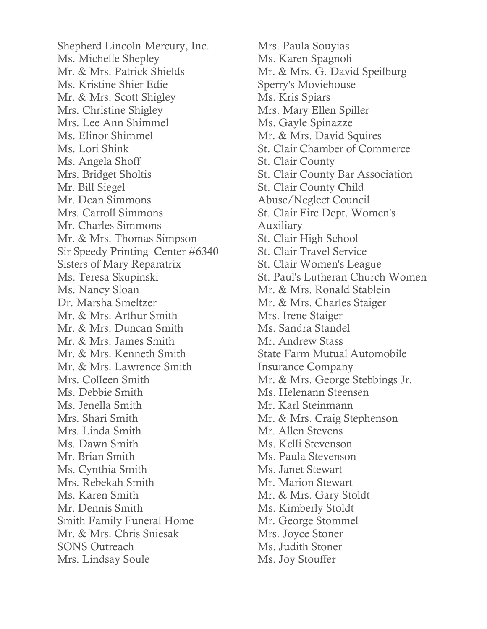Shepherd Lincoln-Mercury, Inc. Ms. Michelle Shepley Mr. & Mrs. Patrick Shields Ms. Kristine Shier Edie Mr. & Mrs. Scott Shigley Mrs. Christine Shigley Mrs. Lee Ann Shimmel Ms. Elinor Shimmel Ms. Lori Shink Ms. Angela Shoff Mrs. Bridget Sholtis Mr. Bill Siegel Mr. Dean Simmons Mrs. Carroll Simmons Mr. Charles Simmons Mr. & Mrs. Thomas Simpson Sir Speedy Printing Center #6340 Sisters of Mary Reparatrix Ms. Teresa Skupinski Ms. Nancy Sloan Dr. Marsha Smeltzer Mr. & Mrs. Arthur Smith Mr. & Mrs. Duncan Smith Mr. & Mrs. James Smith Mr. & Mrs. Kenneth Smith Mr. & Mrs. Lawrence Smith Mrs. Colleen Smith Ms. Debbie Smith Ms. Jenella Smith Mrs. Shari Smith Mrs. Linda Smith Ms. Dawn Smith Mr. Brian Smith Ms. Cynthia Smith Mrs. Rebekah Smith Ms. Karen Smith Mr. Dennis Smith Smith Family Funeral Home Mr. & Mrs. Chris Sniesak SONS Outreach Mrs. Lindsay Soule

Mrs. Paula Souyias Ms. Karen Spagnoli Mr. & Mrs. G. David Speilburg Sperry's Moviehouse Ms. Kris Spiars Mrs. Mary Ellen Spiller Ms. Gayle Spinazze Mr. & Mrs. David Squires St. Clair Chamber of Commerce St. Clair County St. Clair County Bar Association St. Clair County Child Abuse/Neglect Council St. Clair Fire Dept. Women's Auxiliary St. Clair High School St. Clair Travel Service St. Clair Women's League St. Paul's Lutheran Church Women Mr. & Mrs. Ronald Stablein Mr. & Mrs. Charles Staiger Mrs. Irene Staiger Ms. Sandra Standel Mr. Andrew Stass State Farm Mutual Automobile Insurance Company Mr. & Mrs. George Stebbings Jr. Ms. Helenann Steensen Mr. Karl Steinmann Mr. & Mrs. Craig Stephenson Mr. Allen Stevens Ms. Kelli Stevenson Ms. Paula Stevenson Ms. Janet Stewart Mr. Marion Stewart Mr. & Mrs. Gary Stoldt Ms. Kimberly Stoldt Mr. George Stommel Mrs. Joyce Stoner Ms. Judith Stoner

Ms. Joy Stouffer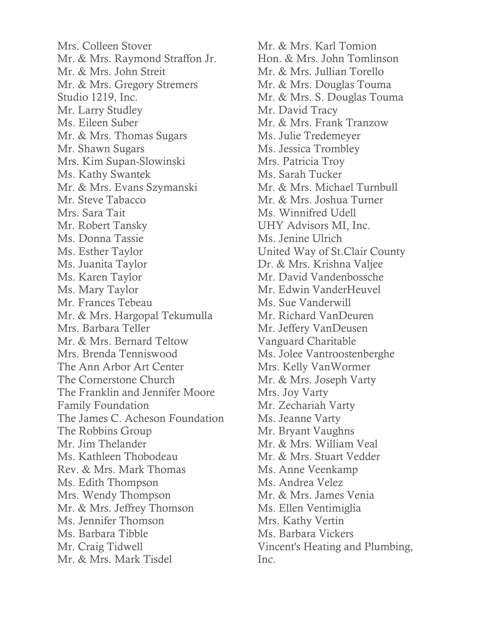Mrs. Colleen Stover Mr. & Mrs. Raymond Straffon Jr. Mr. & Mrs. John Streit Mr. & Mrs. Gregory Stremers Studio 1219, Inc. Mr. Larry Studley Ms. Eileen Suber Mr. & Mrs. Thomas Sugars Mr. Shawn Sugars Mrs. Kim Supan-Slowinski Ms. Kathy Swantek Mr. & Mrs. Evans Szymanski Mr. Steve Tabacco Mrs. Sara Tait Mr. Robert Tansky Ms. Donna Tassie Ms. Esther Taylor Ms. Juanita Taylor Ms. Karen Taylor Ms. Mary Taylor Mr. Frances Tebeau Mr. & Mrs. Hargopal Tekumulla Mrs. Barbara Teller Mr. & Mrs. Bernard Teltow Mrs. Brenda Tenniswood The Ann Arbor Art Center The Cornerstone Church The Franklin and Jennifer Moore Family Foundation The James C. Acheson Foundation The Robbins Group Mr. Jim Thelander Ms. Kathleen Thobodeau Rev. & Mrs. Mark Thomas Ms. Edith Thompson Mrs. Wendy Thompson Mr. & Mrs. Jeffrey Thomson Ms. Jennifer Thomson Ms. Barbara Tibble Mr. Craig Tidwell Mr. & Mrs. Mark Tisdel

Mr. & Mrs. Karl Tomion Hon. & Mrs. John Tomlinson Mr. & Mrs. Jullian Torello Mr. & Mrs. Douglas Touma Mr. & Mrs. S. Douglas Touma Mr. David Tracy Mr. & Mrs. Frank Tranzow Ms. Julie Tredemeyer Ms. Jessica Trombley Mrs. Patricia Troy Ms. Sarah Tucker Mr. & Mrs. Michael Turnbull Mr. & Mrs. Joshua Turner Ms. Winnifred Udell UHY Advisors MI, Inc. Ms. Jenine Ulrich United Way of St.Clair County Dr. & Mrs. Krishna Valjee Mr. David Vandenbossche Mr. Edwin VanderHeuvel Ms. Sue Vanderwill Mr. Richard VanDeuren Mr. Jeffery VanDeusen Vanguard Charitable Ms. Jolee Vantroostenberghe Mrs. Kelly VanWormer Mr. & Mrs. Joseph Varty Mrs. Joy Varty Mr. Zechariah Varty Ms. Jeanne Varty Mr. Bryant Vaughns Mr. & Mrs. William Veal Mr. & Mrs. Stuart Vedder Ms. Anne Veenkamp Ms. Andrea Velez Mr. & Mrs. James Venia Ms. Ellen Ventimiglia Mrs. Kathy Vertin Ms. Barbara Vickers Vincent's Heating and Plumbing, Inc.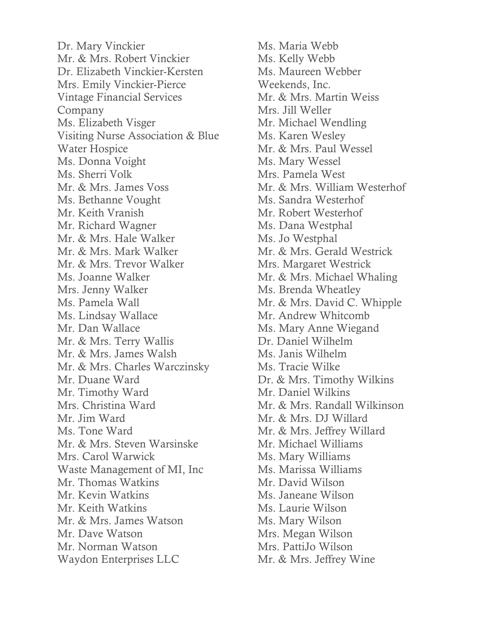Dr. Mary Vinckier Mr. & Mrs. Robert Vinckier Dr. Elizabeth Vinckier-Kersten Mrs. Emily Vinckier-Pierce Vintage Financial Services Company Ms. Elizabeth Visger Visiting Nurse Association & Blue Water Hospice Ms. Donna Voight Ms. Sherri Volk Mr. & Mrs. James Voss Ms. Bethanne Vought Mr. Keith Vranish Mr. Richard Wagner Mr. & Mrs. Hale Walker Mr. & Mrs. Mark Walker Mr. & Mrs. Trevor Walker Ms. Joanne Walker Mrs. Jenny Walker Ms. Pamela Wall Ms. Lindsay Wallace Mr. Dan Wallace Mr. & Mrs. Terry Wallis Mr. & Mrs. James Walsh Mr. & Mrs. Charles Warczinsky Mr. Duane Ward Mr. Timothy Ward Mrs. Christina Ward Mr. Jim Ward Ms. Tone Ward Mr. & Mrs. Steven Warsinske Mrs. Carol Warwick Waste Management of MI, Inc Mr. Thomas Watkins Mr. Kevin Watkins Mr. Keith Watkins Mr. & Mrs. James Watson Mr. Dave Watson Mr. Norman Watson Waydon Enterprises LLC

Ms. Maria Webb Ms. Kelly Webb Ms. Maureen Webber Weekends, Inc. Mr. & Mrs. Martin Weiss Mrs. Jill Weller Mr. Michael Wendling Ms. Karen Wesley Mr. & Mrs. Paul Wessel Ms. Mary Wessel Mrs. Pamela West Mr. & Mrs. William Westerhof Ms. Sandra Westerhof Mr. Robert Westerhof Ms. Dana Westphal Ms. Jo Westphal Mr. & Mrs. Gerald Westrick Mrs. Margaret Westrick Mr. & Mrs. Michael Whaling Ms. Brenda Wheatley Mr. & Mrs. David C. Whipple Mr. Andrew Whitcomb Ms. Mary Anne Wiegand Dr. Daniel Wilhelm Ms. Janis Wilhelm Ms. Tracie Wilke Dr. & Mrs. Timothy Wilkins Mr. Daniel Wilkins Mr. & Mrs. Randall Wilkinson Mr. & Mrs. DJ Willard Mr. & Mrs. Jeffrey Willard Mr. Michael Williams Ms. Mary Williams Ms. Marissa Williams Mr. David Wilson Ms. Janeane Wilson Ms. Laurie Wilson Ms. Mary Wilson Mrs. Megan Wilson Mrs. PattiJo Wilson Mr. & Mrs. Jeffrey Wine